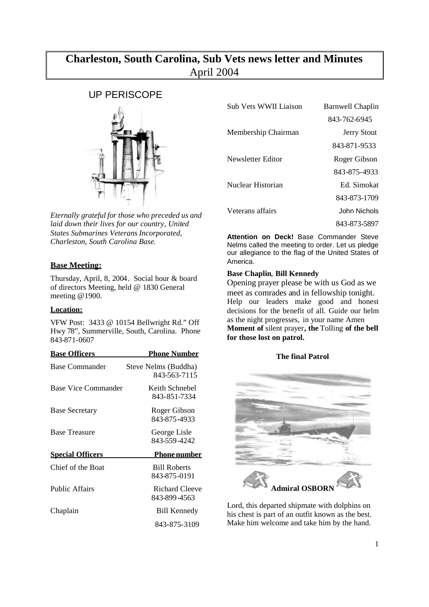# **Charleston, South Carolina, Sub Vets news letter and Minutes** April 2004

# UP PERISCOPE



*Eternally grateful for those who preceded us and laid down their lives for our country, United States Submarines Veterans Incorporated, Charleston, South Carolina Base*.

## **Base Meeting:**

Thursday, April, 8, 2004. Social hour & board of directors Meeting, held @ 1830 General meeting @1900.

## **Location:**

VFW Post: 3433 @ 10154 Bellwright Rd." Off Hwy 78", Summerville, South, Carolina. Phone 843-871-0607

| <b>Base Officers</b>    | <u> Phone Number</u>                 |
|-------------------------|--------------------------------------|
| Base Commander          | Steve Nelms (Buddha)<br>843-563-7115 |
| Base Vice Commander     | Keith Schnebel<br>843-851-7334       |
| <b>Base Secretary</b>   | Roger Gibson<br>843-875-4933         |
| <b>Base Treasure</b>    | George Lisle<br>843-559-4242         |
| <b>Special Officers</b> | <u>Phone number</u>                  |
| Chief of the Boat       | <b>Bill Roberts</b><br>843-875-0191  |
| <b>Public Affairs</b>   | Richard Cleeve<br>843-899-4563       |
| Chaplain                | Bill Kennedy                         |
|                         | 843-875-3109                         |

| Sub Vets WWII Liaison | Barnwell Chaplin   |
|-----------------------|--------------------|
|                       | 843-762-6945       |
| Membership Chairman   | <b>Jerry Stout</b> |
|                       | 843-871-9533       |
| Newsletter Editor     | Roger Gibson       |
|                       | 843-875-4933       |
| Nuclear Historian     | Ed Simokat         |
|                       | 843-873-1709       |
| Veterans affairs      | John Nichols       |
|                       | 843-873-5897       |

**Attention on Deck!** Base Commander Steve Nelms called the meeting to order. Let us pledge our allegiance to the flag of the United States of America.

## **Base Chaplin**, **Bill Kennedy**

Opening prayer please be with us God as we meet as comrades and in fellowship tonight. Help our leaders make good and honest decisions for the benefit of all. Guide our helm as the night progresses, in your name Amen **Moment of** silent prayer**, the** Tolling **of the bell for those lost on patrol.**

## **The final Patrol**



Lord, this departed shipmate with dolphins on his chest is part of an outfit known as the best. Make him welcome and take him by the hand.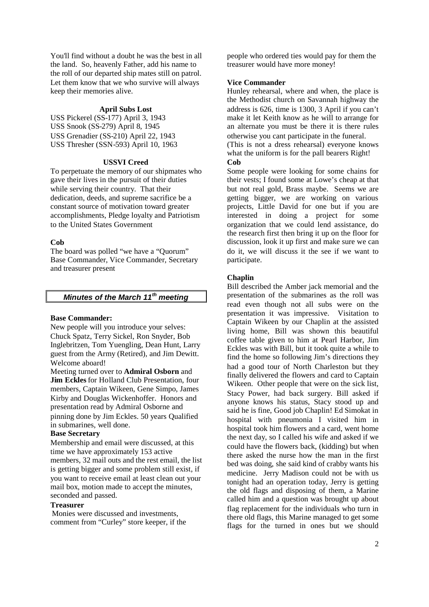You'll find without a doubt he was the best in all the land. So, heavenly Father, add his name to the roll of our departed ship mates still on patrol. Let them know that we who survive will always keep their memories alive.

#### **April Subs Lost**

USS Pickerel (SS-177) April 3, 1943 USS Snook (SS-279) April 8, 1945 USS Grenadier (SS-210) April 22, 1943 USS Thresher (SSN-593) April 10, 1963

## **USSVI Creed**

To perpetuate the memory of our shipmates who gave their lives in the pursuit of their duties while serving their country. That their dedication, deeds, and supreme sacrifice be a constant source of motivation toward greater accomplishments, Pledge loyalty and Patriotism to the United States Government

#### **Cob**

The board was polled "we have a "Quorum" Base Commander, Vice Commander, Secretary and treasurer present

## *Minutes of the March 11th meeting*

#### **Base Commander:**

New people will you introduce your selves: Chuck Spatz, Terry Sickel, Ron Snyder, Bob Inglebritzen, Tom Yuengling, Dean Hunt, Larry guest from the Army (Retired), and Jim Dewitt. Welcome aboard!

Meeting turned over to **Admiral Osborn** and **Jim Eckles** for Holland Club Presentation, four members, Captain Wikeen, Gene Simpo, James Kirby and Douglas Wickenhoffer. Honors and presentation read by Admiral Osborne and pinning done by Jim Eckles. 50 years Qualified in submarines, well done.

## **Base Secretary**

Membership and email were discussed, at this time we have approximately 153 active members, 32 mail outs and the rest email, the list is getting bigger and some problem still exist, if you want to receive email at least clean out your mail box, motion made to accept the minutes, seconded and passed.

#### **Treasurer**

Monies were discussed and investments, comment from "Curley" store keeper, if the

people who ordered ties would pay for them the treasurer would have more money!

#### **Vice Commander**

Hunley rehearsal, where and when, the place is the Methodist church on Savannah highway the address is 626, time is 1300, 3 April if you can't make it let Keith know as he will to arrange for an alternate you must be there it is there rules otherwise you cant participate in the funeral.

(This is not a dress rehearsal) everyone knows what the uniform is for the pall bearers Right! **Cob**

Some people were looking for some chains for their vests; I found some at Lowe's cheap at that but not real gold, Brass maybe. Seems we are getting bigger, we are working on various projects, Little David for one but if you are interested in doing a project for some organization that we could lend assistance, do the research first then bring it up on the floor for discussion, look it up first and make sure we can do it, we will discuss it the see if we want to participate.

#### **Chaplin**

Bill described the Amber jack memorial and the presentation of the submarines as the roll was read even though not all subs were on the presentation it was impressive. Visitation to Captain Wikeen by our Chaplin at the assisted living home, Bill was shown this beautiful coffee table given to him at Pearl Harbor, Jim Eckles was with Bill, but it took quite a while to find the home so following Jim's directions they had a good tour of North Charleston but they finally delivered the flowers and card to Captain Wikeen. Other people that were on the sick list, Stacy Power, had back surgery. Bill asked if anyone knows his status, Stacy stood up and said he is fine, Good job Chaplin! Ed Simokat in hospital with pneumonia I visited him in hospital took him flowers and a card, went home the next day, so I called his wife and asked if we could have the flowers back, (kidding) but when there asked the nurse how the man in the first bed was doing, she said kind of crabby wants his medicine. Jerry Madison could not be with us tonight had an operation today, Jerry is getting the old flags and disposing of them, a Marine called him and a question was brought up about flag replacement for the individuals who turn in there old flags, this Marine managed to get some flags for the turned in ones but we should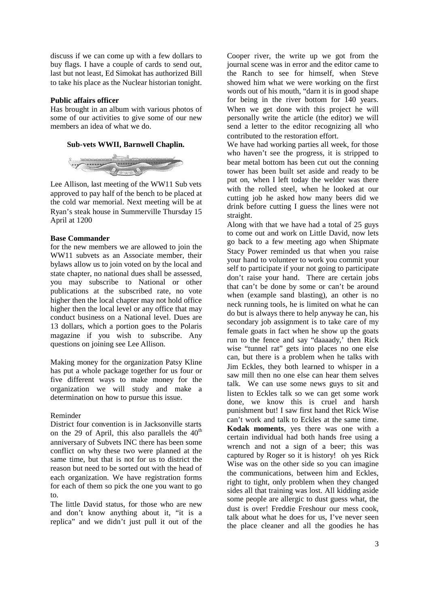discuss if we can come up with a few dollars to buy flags. I have a couple of cards to send out, last but not least, Ed Simokat has authorized Bill to take his place as the Nuclear historian tonight.

## **Public affairs officer**

Has brought in an album with various photos of some of our activities to give some of our new members an idea of what we do.





Lee Allison, last meeting of the WW11 Sub vets approved to pay half of the bench to be placed at the cold war memorial. Next meeting will be at Ryan's steak house in Summerville Thursday 15 April at 1200

## **Base Commander**

for the new members we are allowed to join the WW11 subvets as an Associate member, their bylaws allow us to join voted on by the local and state chapter, no national dues shall be assessed, you may subscribe to National or other publications at the subscribed rate, no vote higher then the local chapter may not hold office higher then the local level or any office that may conduct business on a National level. Dues are 13 dollars, which a portion goes to the Polaris magazine if you wish to subscribe. Any questions on joining see Lee Allison.

Making money for the organization Patsy Kline has put a whole package together for us four or five different ways to make money for the organization we will study and make a determination on how to pursue this issue.

## Reminder

District four convention is in Jacksonville starts on the 29 of April, this also parallels the  $40<sup>th</sup>$ anniversary of Subvets INC there has been some conflict on why these two were planned at the same time, but that is not for us to district the reason but need to be sorted out with the head of each organization. We have registration forms for each of them so pick the one you want to go to.

The little David status, for those who are new and don't know anything about it, "it is a replica" and we didn't just pull it out of the Cooper river, the write up we got from the journal scene was in error and the editor came to the Ranch to see for himself, when Steve showed him what we were working on the first words out of his mouth, "darn it is in good shape for being in the river bottom for 140 years. When we get done with this project he will personally write the article (the editor) we will send a letter to the editor recognizing all who contributed to the restoration effort.

We have had working parties all week, for those who haven't see the progress, it is stripped to bear metal bottom has been cut out the conning tower has been built set aside and ready to be put on, when I left today the welder was there with the rolled steel, when he looked at our cutting job he asked how many beers did we drink before cutting I guess the lines were not straight.

Along with that we have had a total of 25 guys to come out and work on Little David, now lets go back to a few meeting ago when Shipmate Stacy Power reminded us that when you raise your hand to volunteer to work you commit your self to participate if your not going to participate don't raise your hand. There are certain jobs that can't be done by some or can't be around when (example sand blasting), an other is no neck running tools, he is limited on what he can do but is always there to help anyway he can, his secondary job assignment is to take care of my female goats in fact when he show up the goats run to the fence and say "daaaady,' then Rick wise "tunnel rat" gets into places no one else can, but there is a problem when he talks with Jim Eckles, they both learned to whisper in a saw mill then no one else can hear them selves talk. We can use some news guys to sit and listen to Eckles talk so we can get some work done, we know this is cruel and harsh punishment but! I saw first hand thet Rick Wise can't work and talk to Eckles at the same time. **Kodak moments**, yes there was one with a certain individual had both hands free using a wrench and not a sign of a beer; this was captured by Roger so it is history! oh yes Rick Wise was on the other side so you can imagine the communications, between him and Eckles, right to tight, only problem when they changed sides all that training was lost. All kidding aside some people are allergic to dust guess what, the dust is over! Freddie Freshour our mess cook, talk about what he does for us, I've never seen the place cleaner and all the goodies he has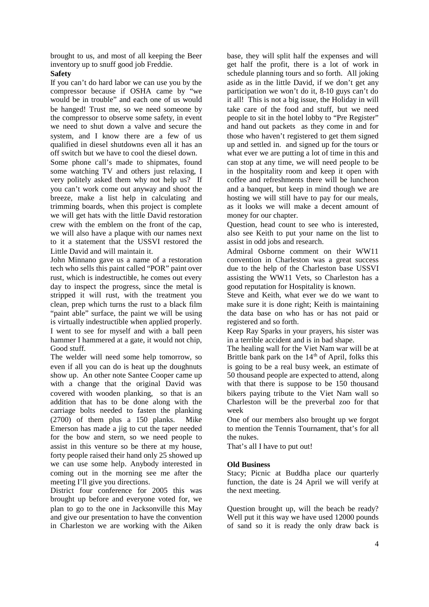brought to us, and most of all keeping the Beer inventory up to snuff good job Freddie.

## **Safety**

If you can't do hard labor we can use you by the compressor because if OSHA came by "we would be in trouble" and each one of us would be hanged! Trust me, so we need someone by the compressor to observe some safety, in event we need to shut down a valve and secure the system, and I know there are a few of us qualified in diesel shutdowns even all it has an off switch but we have to cool the diesel down.

Some phone call's made to shipmates, found some watching TV and others just relaxing, I very politely asked them why not help us? If you can't work come out anyway and shoot the breeze, make a list help in calculating and trimming boards, when this project is complete we will get hats with the little David restoration crew with the emblem on the front of the cap, we will also have a plaque with our names next to it a statement that the USSVI restored the Little David and will maintain it.

John Minnano gave us a name of a restoration tech who sells this paint called "POR" paint over rust, which is indestructible, he comes out every day to inspect the progress, since the metal is stripped it will rust, with the treatment you clean, prep which turns the rust to a black film "paint able" surface, the paint we will be using is virtually indestructible when applied properly. I went to see for myself and with a ball peen hammer I hammered at a gate, it would not chip, Good stuff.

The welder will need some help tomorrow, so even if all you can do is heat up the doughnuts show up. An other note Santee Cooper came up with a change that the original David was covered with wooden planking, so that is an addition that has to be done along with the carriage bolts needed to fasten the planking (2700) of them plus a 150 planks. Mike Emerson has made a jig to cut the taper needed for the bow and stern, so we need people to assist in this venture so be there at my house, forty people raised their hand only 25 showed up we can use some help. Anybody interested in coming out in the morning see me after the meeting I'll give you directions.

District four conference for 2005 this was brought up before and everyone voted for, we plan to go to the one in Jacksonville this May and give our presentation to have the convention in Charleston we are working with the Aiken

base, they will split half the expenses and will get half the profit, there is a lot of work in schedule planning tours and so forth. All joking aside as in the little David, if we don't get any participation we won't do it, 8-10 guys can't do it all! This is not a big issue, the Holiday in will take care of the food and stuff, but we need people to sit in the hotel lobby to "Pre Register" and hand out packets as they come in and for those who haven't registered to get them signed up and settled in. and signed up for the tours or what ever we are putting a lot of time in this and can stop at any time, we will need people to be in the hospitality room and keep it open with coffee and refreshments there will be luncheon and a banquet, but keep in mind though we are hosting we will still have to pay for our meals, as it looks we will make a decent amount of money for our chapter.

Question, head count to see who is interested, also see Keith to put your name on the list to assist in odd jobs and research.

Admiral Osborne comment on their WW11 convention in Charleston was a great success due to the help of the Charleston base USSVI assisting the WW11 Vets, so Charleston has a good reputation for Hospitality is known.

Steve and Keith, what ever we do we want to make sure it is done right; Keith is maintaining the data base on who has or has not paid or registered and so forth.

Keep Ray Sparks in your prayers, his sister was in a terrible accident and is in bad shape.

The healing wall for the Viet Nam war will be at Brittle bank park on the  $14<sup>th</sup>$  of April, folks this is going to be a real busy week, an estimate of 50 thousand people are expected to attend, along with that there is suppose to be 150 thousand bikers paying tribute to the Viet Nam wall so Charleston will be the preverbal zoo for that week

One of our members also brought up we forgot to mention the Tennis Tournament, that's for all the nukes.

That's all I have to put out!

## **Old Business**

Stacy: Picnic at Buddha place our quarterly function, the date is 24 April we will verify at the next meeting.

Question brought up, will the beach be ready? Well put it this way we have used 12000 pounds of sand so it is ready the only draw back is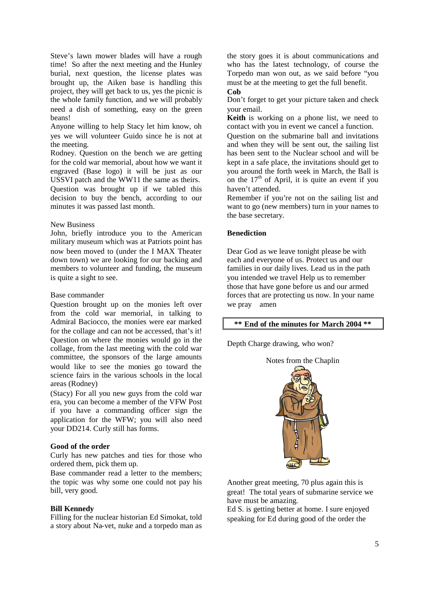Steve's lawn mower blades will have a rough time! So after the next meeting and the Hunley burial, next question, the license plates was brought up, the Aiken base is handling this project, they will get back to us, yes the picnic is the whole family function, and we will probably need a dish of something, easy on the green beans!

Anyone willing to help Stacy let him know, oh yes we will volunteer Guido since he is not at the meeting.

Rodney. Question on the bench we are getting for the cold war memorial, about how we want it engraved (Base logo) it will be just as our USSVI patch and the WW11 the same as theirs.

Question was brought up if we tabled this decision to buy the bench, according to our minutes it was passed last month.

#### New Business

John, briefly introduce you to the American military museum which was at Patriots point has now been moved to (under the I MAX Theater down town) we are looking for our backing and members to volunteer and funding, the museum is quite a sight to see.

#### Base commander

Question brought up on the monies left over from the cold war memorial, in talking to Admiral Baciocco, the monies were ear marked for the collage and can not be accessed, that's it! Question on where the monies would go in the collage, from the last meeting with the cold war committee, the sponsors of the large amounts would like to see the monies go toward the science fairs in the various schools in the local areas (Rodney)

(Stacy) For all you new guys from the cold war era, you can become a member of the VFW Post if you have a commanding officer sign the application for the WFW; you will also need your DD214. Curly still has forms.

## **Good of the order**

Curly has new patches and ties for those who ordered them, pick them up.

Base commander read a letter to the members; the topic was why some one could not pay his bill, very good.

#### **Bill Kennedy**

Filling for the nuclear historian Ed Simokat, told a story about Na-vet, nuke and a torpedo man as

the story goes it is about communications and who has the latest technology, of course the Torpedo man won out, as we said before "you must be at the meeting to get the full benefit. **Cob**

Don't forget to get your picture taken and check your email.

**Keith** is working on a phone list, we need to contact with you in event we cancel a function.

Question on the submarine ball and invitations and when they will be sent out, the sailing list has been sent to the Nuclear school and will be kept in a safe place, the invitations should get to you around the forth week in March, the Ball is on the  $17<sup>th</sup>$  of April, it is quite an event if you haven't attended.

Remember if you're not on the sailing list and want to go (new members) turn in your names to the base secretary.

## **Benediction**

Dear God as we leave tonight please be with each and everyone of us. Protect us and our families in our daily lives. Lead us in the path you intended we travel Help us to remember those that have gone before us and our armed forces that are protecting us now. In your name we pray amen

#### **\*\* End of the minutes for March 2004 \*\***

Depth Charge drawing, who won?



Another great meeting, 70 plus again this is great! The total years of submarine service we have must be amazing.

Ed S. is getting better at home. I sure enjoyed speaking for Ed during good of the order the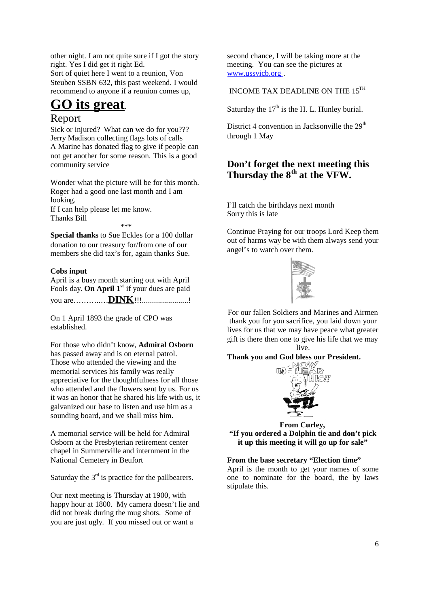other night. I am not quite sure if I got the story right. Yes I did get it right Ed. Sort of quiet here I went to a reunion, Von Steuben SSBN 632, this past weekend. I would recommend to anyone if a reunion comes up,

# **GO its great**.

## Report

Sick or injured? What can we do for you??? Jerry Madison collecting flags lots of calls A Marine has donated flag to give if people can not get another for some reason. This is a good community service

Wonder what the picture will be for this month. Roger had a good one last month and I am looking. If I can help please let me know. Thanks Bill

\*\*\*

**Special thanks** to Sue Eckles for a 100 dollar donation to our treasury for/from one of our members she did tax's for, again thanks Sue.

## **Cobs input**

April is a busy month starting out with April Fools day. **On April 1st** if your dues are paid you are………..…**DINK**!!!.......................!

On 1 April 1893 the grade of CPO was established.

For those who didn't know, **Admiral Osborn** has passed away and is on eternal patrol. Those who attended the viewing and the memorial services his family was really appreciative for the thoughtfulness for all those who attended and the flowers sent by us. For us it was an honor that he shared his life with us, it galvanized our base to listen and use him as a sounding board, and we shall miss him.

A memorial service will be held for Admiral Osborn at the Presbyterian retirement center chapel in Summerville and internment in the National Cemetery in Beufort

Saturday the  $3<sup>rd</sup>$  is practice for the pallbearers.

Our next meeting is Thursday at 1900, with happy hour at 1800. My camera doesn't lie and did not break during the mug shots. Some of you are just ugly. If you missed out or want a

second chance, I will be taking more at the meeting. You can see the pictures at www.ussvicb.org .

INCOME TAX DEADLINE ON THE  $15^{\text{TH}}$ 

Saturday the  $17<sup>th</sup>$  is the H. L. Hunley burial.

District 4 convention in Jacksonville the  $29<sup>th</sup>$ through 1 May

## **Don't forget the next meeting this Thursday the 8th at the VFW.**

I'll catch the birthdays next month Sorry this is late

Continue Praying for our troops Lord Keep them out of harms way be with them always send your angel's to watch over them.



For our fallen Soldiers and Marines and Airmen thank you for you sacrifice, you laid down your lives for us that we may have peace what greater gift is there then one to give his life that we may live.

## **Thank you and God bless our President.**



**From Curley, "If you ordered a Dolphin tie and don't pick it up this meeting it will go up for sale"**

## **From the base secretary "Election time"**

April is the month to get your names of some one to nominate for the board, the by laws stipulate this.